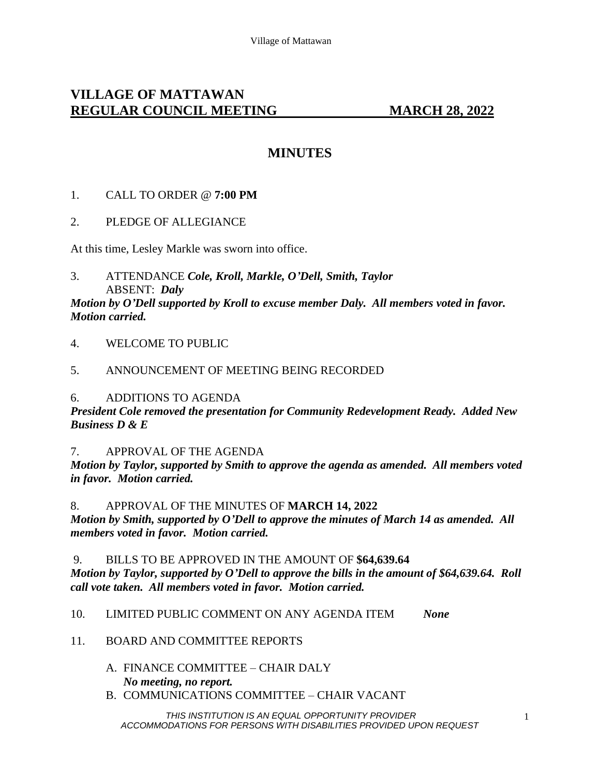# **VILLAGE OF MATTAWAN REGULAR COUNCIL MEETING MARCH 28, 2022**

# **MINUTES**

## 1. CALL TO ORDER @ **7:00 PM**

## 2. PLEDGE OF ALLEGIANCE

At this time, Lesley Markle was sworn into office.

3. ATTENDANCE *Cole, Kroll, Markle, O'Dell, Smith, Taylor* ABSENT: *Daly*

*Motion by O'Dell supported by Kroll to excuse member Daly. All members voted in favor. Motion carried.*

- 4. WELCOME TO PUBLIC
- 5. ANNOUNCEMENT OF MEETING BEING RECORDED

### 6. ADDITIONS TO AGENDA

*President Cole removed the presentation for Community Redevelopment Ready. Added New Business D & E*

7. APPROVAL OF THE AGENDA

*Motion by Taylor, supported by Smith to approve the agenda as amended. All members voted in favor. Motion carried.* 

#### 8. APPROVAL OF THE MINUTES OF **MARCH 14, 2022**

*Motion by Smith, supported by O'Dell to approve the minutes of March 14 as amended. All members voted in favor. Motion carried.* 

9. BILLS TO BE APPROVED IN THE AMOUNT OF **\$64,639.64** *Motion by Taylor, supported by O'Dell to approve the bills in the amount of \$64,639.64. Roll call vote taken. All members voted in favor. Motion carried.* 

10. LIMITED PUBLIC COMMENT ON ANY AGENDA ITEM *None*

### 11. BOARD AND COMMITTEE REPORTS

- A. FINANCE COMMITTEE CHAIR DALY *No meeting, no report.*
- B. COMMUNICATIONS COMMITTEE CHAIR VACANT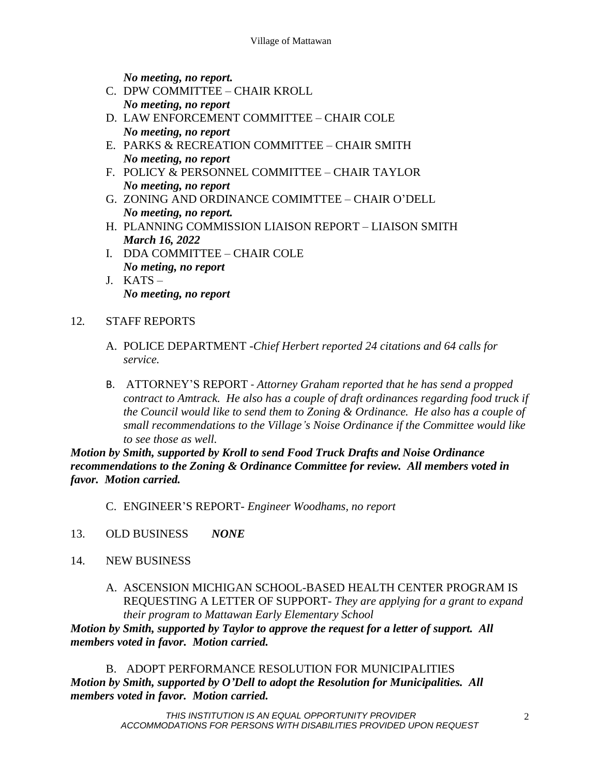*No meeting, no report.*

- C. DPW COMMITTEE CHAIR KROLL *No meeting, no report*
- D. LAW ENFORCEMENT COMMITTEE CHAIR COLE *No meeting, no report*
- E. PARKS & RECREATION COMMITTEE CHAIR SMITH *No meeting, no report*
- F. POLICY & PERSONNEL COMMITTEE CHAIR TAYLOR *No meeting, no report*
- G. ZONING AND ORDINANCE COMIMTTEE CHAIR O'DELL *No meeting, no report.*
- H. PLANNING COMMISSION LIAISON REPORT LIAISON SMITH *March 16, 2022*
- I. DDA COMMITTEE CHAIR COLE *No meting, no report*
- J. KATS *No meeting, no report*

# 12*.* STAFF REPORTS

- A. POLICE DEPARTMENT -*Chief Herbert reported 24 citations and 64 calls for service.*
- B. ATTORNEY'S REPORT *Attorney Graham reported that he has send a propped contract to Amtrack. He also has a couple of draft ordinances regarding food truck if the Council would like to send them to Zoning & Ordinance. He also has a couple of small recommendations to the Village's Noise Ordinance if the Committee would like to see those as well.*

*Motion by Smith, supported by Kroll to send Food Truck Drafts and Noise Ordinance recommendations to the Zoning & Ordinance Committee for review. All members voted in favor. Motion carried.* 

C. ENGINEER'S REPORT- *Engineer Woodhams, no report*

- 13. OLD BUSINESS *NONE*
- 14. NEW BUSINESS
	- A. ASCENSION MICHIGAN SCHOOL-BASED HEALTH CENTER PROGRAM IS REQUESTING A LETTER OF SUPPORT- *They are applying for a grant to expand their program to Mattawan Early Elementary School*

*Motion by Smith, supported by Taylor to approve the request for a letter of support. All members voted in favor. Motion carried.* 

B. ADOPT PERFORMANCE RESOLUTION FOR MUNICIPALITIES *Motion by Smith, supported by O'Dell to adopt the Resolution for Municipalities. All members voted in favor. Motion carried.*